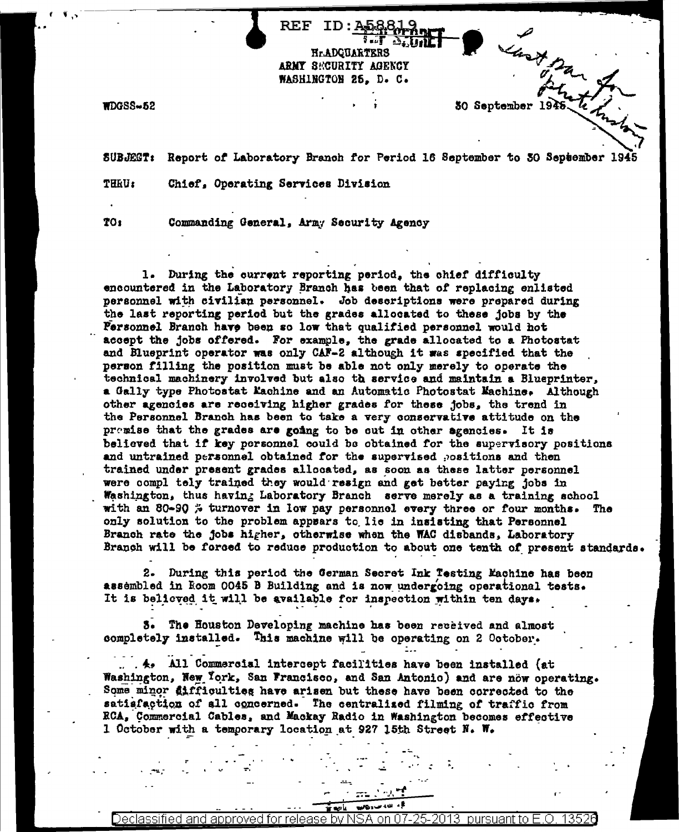$MDGSS - 52$ 

SUBJEGT: Report of Laboratory Branch for Period 16 September to 30 September 1945

ID:A58819 5. . . . <del>.</del>

**HrADGUARTERS** ARMY SECURITY AGENCY WASHINGTON 25. D. C.

that par

30 September 1941

**THEU:** Chief, Operating Services Division

**701** 

Commanding General, Army Security Agency

REF

1. During the current reporting period, the chief difficulty encountered in the Laboratory Branch has been that of replacing enlisted personnel with civilian personnel. Job descriptions were prepared during the last reporting period but the grades allocated to these jobs by the Fersonnel Branch have been so low that qualified personnel would hot accept the jobs offered. For example, the grade allocated to a Photostat and Blueprint operator was only CAF-2 although it was specified that the person filling the position must be able not only merely to operate the technical machinery involved but also th service and maintain a Blueprinter, a Gally type Photostat Kachine and an Automatic Photostat Machine. Although other agencies are receiving higher grades for these jobs, the trend in the Personnel Branch has been to take a very conservative attitude on the premise that the grades are going to be out in other agencies. It is believed that if key personnel could be obtained for the supervisory positions and untrained personnel obtained for the supervised positions and then trained under present grades allocated, as soon as these latter personnel were compl tely trained they would resign and get better paying jobs in Washington, thus having Laboratory Branch serve merely as a training school with an 80-90 % turnover in low pay personnel every three or four months. The only solution to the problem appears to lie in insisting that Personnel Branch rate the jobs higher, otherwise when the WAC disbands, Laboratory Branch will be forced to reduce production to about one tenth of present standards.

2. During this period the German Secret Ink Testing Machine has been assembled in Room 0045 B Building and is now undergoing operational tests. It is believed it will be available for inspection within ten days.

3. The Houston Developing machine has been received and almost completely installed. This machine will be operating on 2 October.

 $A_{\bullet}$  All Commercial intercept facilities have been installed (at Washington, New York, San Francisco, and San Antonio) and are now operating. Some minor difficulties have arisen but these have been corrected to the satisfaction of all concerned. The centralized filming of traffic from RCA, Commercial Cables, and Mackay Radio in Washington becomes effective 1 October with a temporary location at 927 15th Street N. W.

135 Declassified and approved for release by NSA .on

€، الله می <sub>وط</sub>الي.